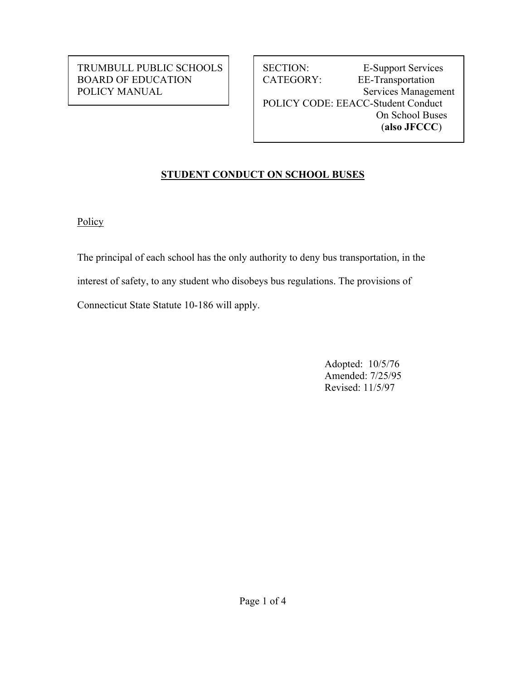TRUMBULL PUBLIC SCHOOLS | SECTION: E-Support Services BOARD OF EDUCATION | | CATEGORY: EE-Transportation POLICY MANUAL Services Management POLICY CODE: EEACC-Student Conduct On School Buses (**also JFCCC**)

# **STUDENT CONDUCT ON SCHOOL BUSES**

**Policy** 

The principal of each school has the only authority to deny bus transportation, in the interest of safety, to any student who disobeys bus regulations. The provisions of Connecticut State Statute 10-186 will apply.

> Adopted: 10/5/76 Amended: 7/25/95 Revised: 11/5/97

Page 1 of 4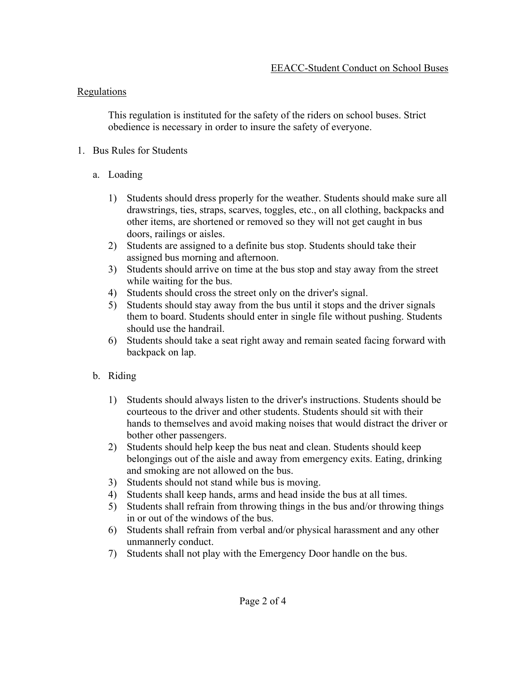### Regulations

This regulation is instituted for the safety of the riders on school buses. Strict obedience is necessary in order to insure the safety of everyone.

## 1. Bus Rules for Students

- a. Loading
	- 1) Students should dress properly for the weather. Students should make sure all drawstrings, ties, straps, scarves, toggles, etc., on all clothing, backpacks and other items, are shortened or removed so they will not get caught in bus doors, railings or aisles.
	- 2) Students are assigned to a definite bus stop. Students should take their assigned bus morning and afternoon.
	- 3) Students should arrive on time at the bus stop and stay away from the street while waiting for the bus.
	- 4) Students should cross the street only on the driver's signal.
	- 5) Students should stay away from the bus until it stops and the driver signals them to board. Students should enter in single file without pushing. Students should use the handrail.
	- 6) Students should take a seat right away and remain seated facing forward with backpack on lap.
- b. Riding
	- 1) Students should always listen to the driver's instructions. Students should be courteous to the driver and other students. Students should sit with their hands to themselves and avoid making noises that would distract the driver or bother other passengers.
	- 2) Students should help keep the bus neat and clean. Students should keep belongings out of the aisle and away from emergency exits. Eating, drinking and smoking are not allowed on the bus.
	- 3) Students should not stand while bus is moving.
	- 4) Students shall keep hands, arms and head inside the bus at all times.
	- 5) Students shall refrain from throwing things in the bus and/or throwing things in or out of the windows of the bus.
	- 6) Students shall refrain from verbal and/or physical harassment and any other unmannerly conduct.
	- 7) Students shall not play with the Emergency Door handle on the bus.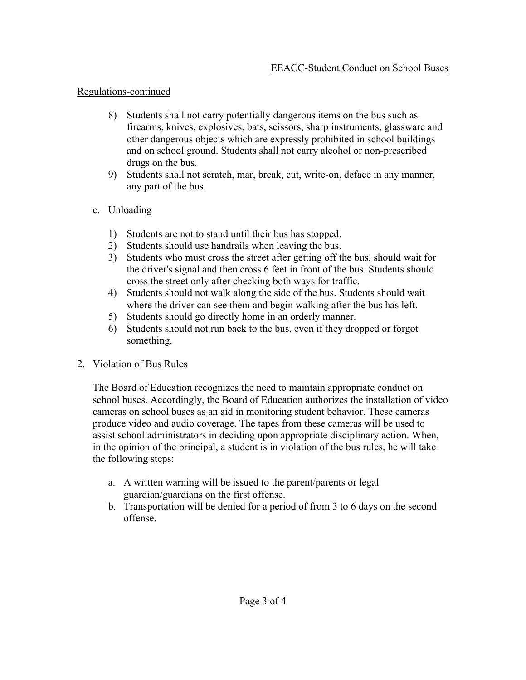#### Regulations-continued

- 8) Students shall not carry potentially dangerous items on the bus such as firearms, knives, explosives, bats, scissors, sharp instruments, glassware and other dangerous objects which are expressly prohibited in school buildings and on school ground. Students shall not carry alcohol or non-prescribed drugs on the bus.
- 9) Students shall not scratch, mar, break, cut, write-on, deface in any manner, any part of the bus.
- c. Unloading
	- 1) Students are not to stand until their bus has stopped.
	- 2) Students should use handrails when leaving the bus.
	- 3) Students who must cross the street after getting off the bus, should wait for the driver's signal and then cross 6 feet in front of the bus. Students should cross the street only after checking both ways for traffic.
	- 4) Students should not walk along the side of the bus. Students should wait where the driver can see them and begin walking after the bus has left.
	- 5) Students should go directly home in an orderly manner.
	- 6) Students should not run back to the bus, even if they dropped or forgot something.
- 2. Violation of Bus Rules

The Board of Education recognizes the need to maintain appropriate conduct on school buses. Accordingly, the Board of Education authorizes the installation of video cameras on school buses as an aid in monitoring student behavior. These cameras produce video and audio coverage. The tapes from these cameras will be used to assist school administrators in deciding upon appropriate disciplinary action. When, in the opinion of the principal, a student is in violation of the bus rules, he will take the following steps:

- a. A written warning will be issued to the parent/parents or legal guardian/guardians on the first offense.
- b. Transportation will be denied for a period of from 3 to 6 days on the second offense.